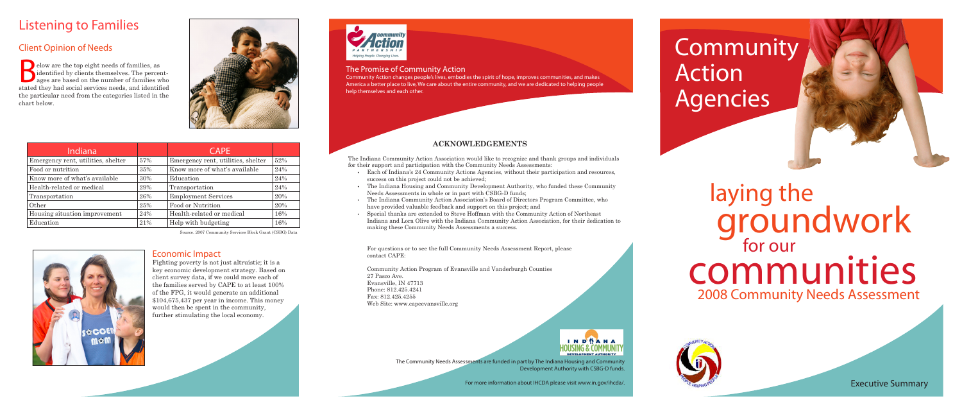# Listening to Families

# communities laying the groundwork 2008 Community Needs Assessment



# Client Opinion of Needs

elow are the top eight needs of families, as<br>identified by clients themselves. The percer<br>ages are based on the number of families w<br>stated they had social services needs and identifi identified by clients themselves. The percentages are based on the number of families who stated they had social services needs, and identified the particular need from the categories listed in the chart below.



Community

Action

# Agencies

#### The Promise of Community Action

Community Action changes people's lives, embodies the spirit of hope, improves communities, and makes America a better place to live, We care about the entire community, and we are dedicated to helping people help themselves and each other.

## **ACKNOWLEDGEMENTS**

The Indiana Community Action Association would like to recognize and thank groups and individuals



for their support and participation with the Community Needs Assessments:

- • Each of Indiana's 24 Community Actions Agencies, without their participation and resources, success on this project could not be achieved;
- The Indiana Housing and Community Development Authority, who funded these Community Needs Assessments in whole or in part with CSBG-D funds;
- The Indiana Community Action Association's Board of Directors Program Committee, who have provided valuable feedback and support on this project; and
- • Special thanks are extended to Steve Hoffman with the Community Action of Northeast Indiana and Lora Olive with the Indiana Community Action Association, for their dedication to making these Community Needs Assessments a success.

For questions or to see the full Community Needs Assessment Report, please contact CAPE:

Community Action Program of Evansville and Vanderburgh Counties 27 Pasco Ave. Evansville, IN 47713 Phone: 812.425.4241 Fax: 812.425.4255 Web Site: www.capeevansville.org

> The Community Needs Assessments are funded in part by The Indiana Housing and Community Development Authority with CSBG-D funds.

> > For more information about IHCDA please visit www.in.gov/ihcda/.

| Indiana                            |     | <b>CAPE</b>                        |     |
|------------------------------------|-----|------------------------------------|-----|
| Emergency rent, utilities, shelter | 57% | Emergency rent, utilities, shelter | 52% |
| Food or nutrition                  | 35% | Know more of what's available      | 24% |
| Know more of what's available      | 30% | Education                          | 24% |
| Health-related or medical          | 29% | Transportation                     | 24% |
| Transportation                     | 26% | <b>Employment Services</b>         | 20% |
| Other                              | 25% | Food or Nutrition                  | 20% |
| Housing situation improvement      | 24% | Health-related or medical          | 16% |
| Education                          | 21% | Help with budgeting                | 16% |

Source. 2007 Community Services Block Grant (CSBG) Data



Executive Summary

### Economic Impact

Fighting poverty is not just altruistic; it is a key economic development strategy. Based on client survey data, if we could move each of the families served by CAPE to at least 100% of the FPG, it would generate an additional \$104,675,437 per year in income. This money would then be spent in the community, further stimulating the local economy.